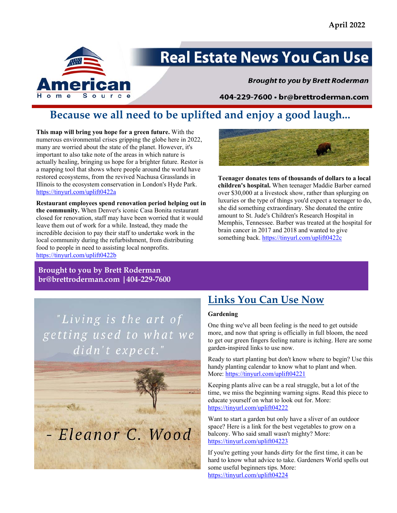

# **Real Estate News You Can Use**

**Brought to you by Brett Roderman** 

404-229-7600 · br@brettroderman.com

### **Because we all need to be uplifted and enjoy a good laugh...**

**This map will bring you hope for a green future.** With the numerous environmental crises gripping the globe here in 2022, many are worried about the state of the planet. However, it's important to also take note of the areas in which nature is actually healing, bringing us hope for a brighter future. Restor is a mapping tool that shows where people around the world have restored ecosystems, from the revived Nachusa Grasslands in Illinois to the ecosystem conservation in London's Hyde Park. https://tinyurl.com/uplift0422a

**Restaurant employees spend renovation period helping out in the community.** When Denver's iconic Casa Bonita restaurant closed for renovation, staff may have been worried that it would leave them out of work for a while. Instead, they made the incredible decision to pay their staff to undertake work in the local community during the refurbishment, from distributing food to people in need to assisting local nonprofits. https://tinyurl.com/uplift0422b



**Teenager donates tens of thousands of dollars to a local children's hospital.** When teenager Maddie Barber earned over \$30,000 at a livestock show, rather than splurging on luxuries or the type of things you'd expect a teenager to do, she did something extraordinary. She donated the entire amount to St. Jude's Children's Research Hospital in Memphis, Tennessee. Barber was treated at the hospital for brain cancer in 2017 and 2018 and wanted to give something back. https://tinyurl.com/uplift0422c

**Brought to you by Brett Roderman br@brettroderman.com |404-229-7600** 

"Living is the art of getting used to what we didn't expect."



### **Links You Can Use Now**

#### **Gardening**

One thing we've all been feeling is the need to get outside more, and now that spring is officially in full bloom, the need to get our green fingers feeling nature is itching. Here are some garden-inspired links to use now.

Ready to start planting but don't know where to begin? Use this handy planting calendar to know what to plant and when. More: https://tinyurl.com/uplift04221

Keeping plants alive can be a real struggle, but a lot of the time, we miss the beginning warning signs. Read this piece to educate yourself on what to look out for. More: https://tinyurl.com/uplift04222

Want to start a garden but only have a sliver of an outdoor space? Here is a link for the best vegetables to grow on a balcony. Who said small wasn't mighty? More: https://tinyurl.com/uplift04223

If you're getting your hands dirty for the first time, it can be hard to know what advice to take. Gardeners World spells out some useful beginners tips. More: https://tinyurl.com/uplift04224